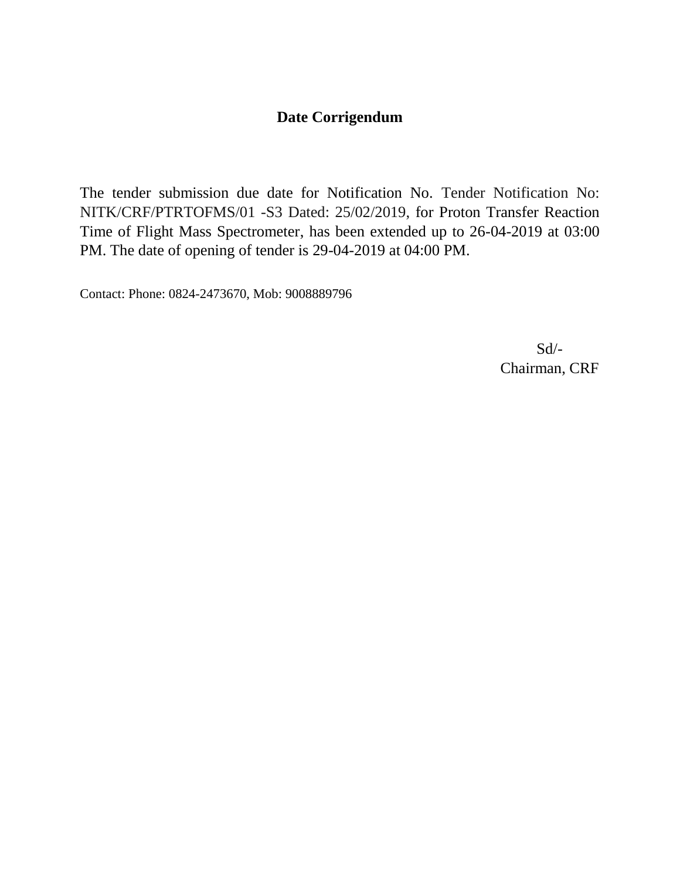# **Date Corrigendum**

The tender submission due date for Notification No. Tender Notification No: NITK/CRF/PTRTOFMS/01 -S3 Dated: 25/02/2019, for Proton Transfer Reaction Time of Flight Mass Spectrometer, has been extended up to 26-04-2019 at 03:00 PM. The date of opening of tender is 29-04-2019 at 04:00 PM.

Contact: Phone: 0824-2473670, Mob: 9008889796

 Sd/- Chairman, CRF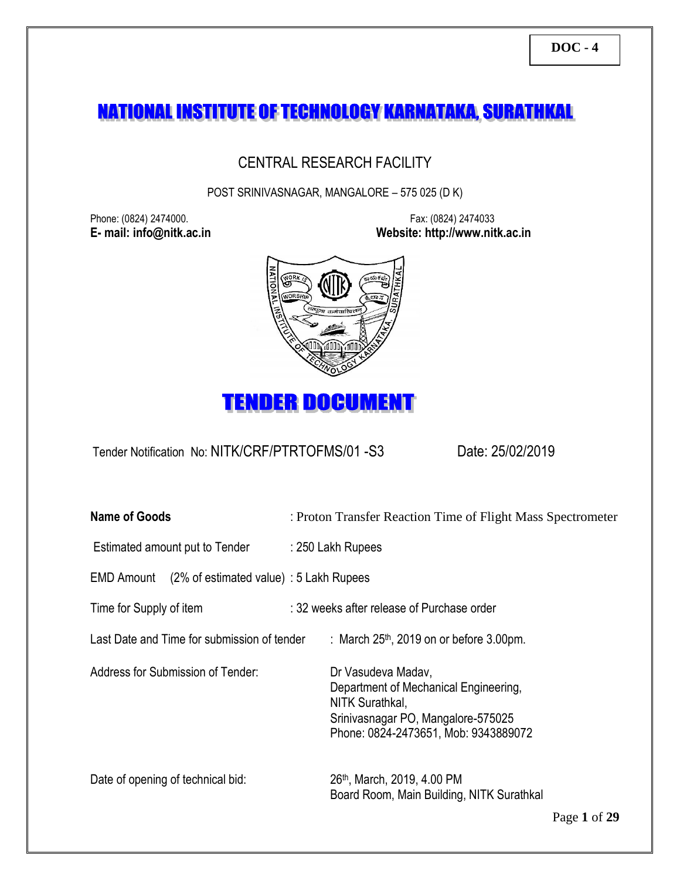# NATIONAL INSTITUTE OF TECHNOLOGY KARNATAKA, SURATHKAL

# CENTRAL RESEARCH FACILITY

POST SRINIVASNAGAR, MANGALORE – 575 025 (D K)

Phone: (0824) 2474000. Fax: (0824) 2474033

**E- mail: info@nitk.ac.in Website: http://www.nitk.ac.in**





Tender Notification No: NITK/CRF/PTRTOFMS/01 -S3Date: 25/02/2019

| <b>Name of Goods</b>                                     | : Proton Transfer Reaction Time of Flight Mass Spectrometer                                                                                                  |  |  |
|----------------------------------------------------------|--------------------------------------------------------------------------------------------------------------------------------------------------------------|--|--|
| Estimated amount put to Tender                           | : 250 Lakh Rupees                                                                                                                                            |  |  |
| $(2\%$ of estimated value) : 5 Lakh Rupees<br>EMD Amount |                                                                                                                                                              |  |  |
| Time for Supply of item                                  | : 32 weeks after release of Purchase order                                                                                                                   |  |  |
| Last Date and Time for submission of tender              | : March $25th$ , 2019 on or before 3.00pm.                                                                                                                   |  |  |
| Address for Submission of Tender:                        | Dr Vasudeva Madav,<br>Department of Mechanical Engineering,<br>NITK Surathkal,<br>Srinivasnagar PO, Mangalore-575025<br>Phone: 0824-2473651, Mob: 9343889072 |  |  |
| Date of opening of technical bid:                        | 26 <sup>th</sup> , March, 2019, 4.00 PM<br>Board Room, Main Building, NITK Surathkal                                                                         |  |  |

Page **1** of **29**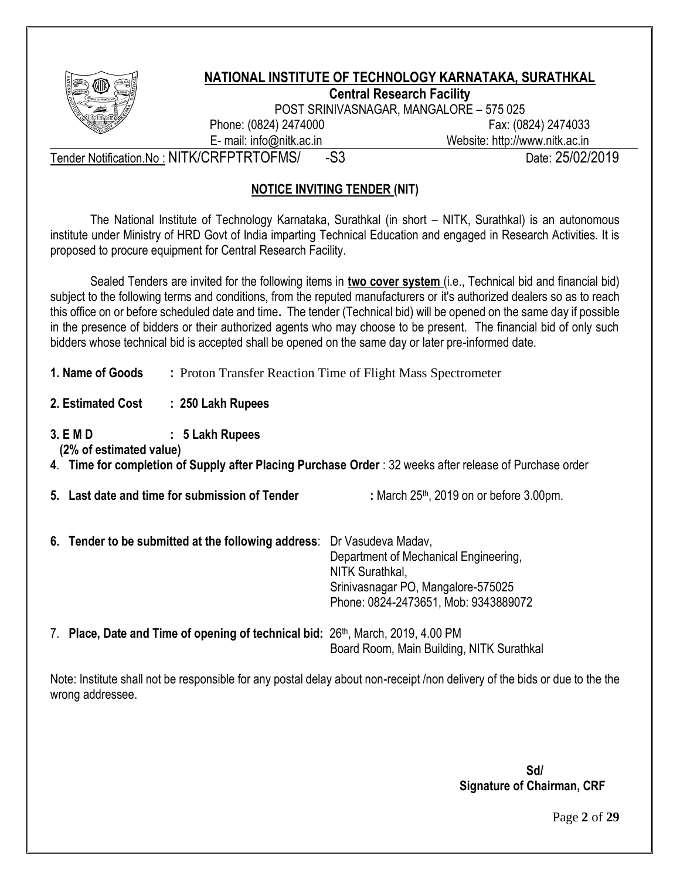

#### **NATIONAL INSTITUTE OF TECHNOLOGY KARNATAKA, SURATHKAL Central Research Facility**

POST SRINIVASNAGAR, MANGALORE – 575 025

Phone: (0824) 2474000 Fax: (0824) 2474033 E- mail: info@nitk.ac.in Website: http://www.nitk.ac.in

Tender Notification.No: NITK/CRFPTRTOFMS/ -S3<br>
Date: 25/02/2019

# **NOTICE INVITING TENDER (NIT)**

The National Institute of Technology Karnataka, Surathkal (in short – NITK, Surathkal) is an autonomous institute under Ministry of HRD Govt of India imparting Technical Education and engaged in Research Activities. It is proposed to procure equipment for Central Research Facility.

Sealed Tenders are invited for the following items in **two cover system** (i.e., Technical bid and financial bid) subject to the following terms and conditions, from the reputed manufacturers or it's authorized dealers so as to reach this office on or before scheduled date and time**.** The tender (Technical bid) will be opened on the same day if possible in the presence of bidders or their authorized agents who may choose to be present. The financial bid of only such bidders whose technical bid is accepted shall be opened on the same day or later pre-informed date.

- **1. Name of Goods :** Proton Transfer Reaction Time of Flight Mass Spectrometer
- **2. Estimated Cost : 250 Lakh Rupees**
- **3. E M D : 5 Lakh Rupees**

 **(2% of estimated value)** 

- **4**. **Time for completion of Supply after Placing Purchase Order** : 32 weeks after release of Purchase order
- **5.** Last date and time for submission of Tender : March 25<sup>th</sup>, 2019 on or before 3.00pm.

- **6. Tender to be submitted at the following address**: Dr Vasudeva Madav, Department of Mechanical Engineering, NITK Surathkal, Srinivasnagar PO, Mangalore-575025 Phone: 0824-2473651, Mob: 9343889072
- 7. **Place, Date and Time of opening of technical bid:** 26th, March, 2019, 4.00 PM Board Room, Main Building, NITK Surathkal

Note: Institute shall not be responsible for any postal delay about non-receipt /non delivery of the bids or due to the the wrong addressee.

> **Sd/ Signature of Chairman, CRF**

> > Page **2** of **29**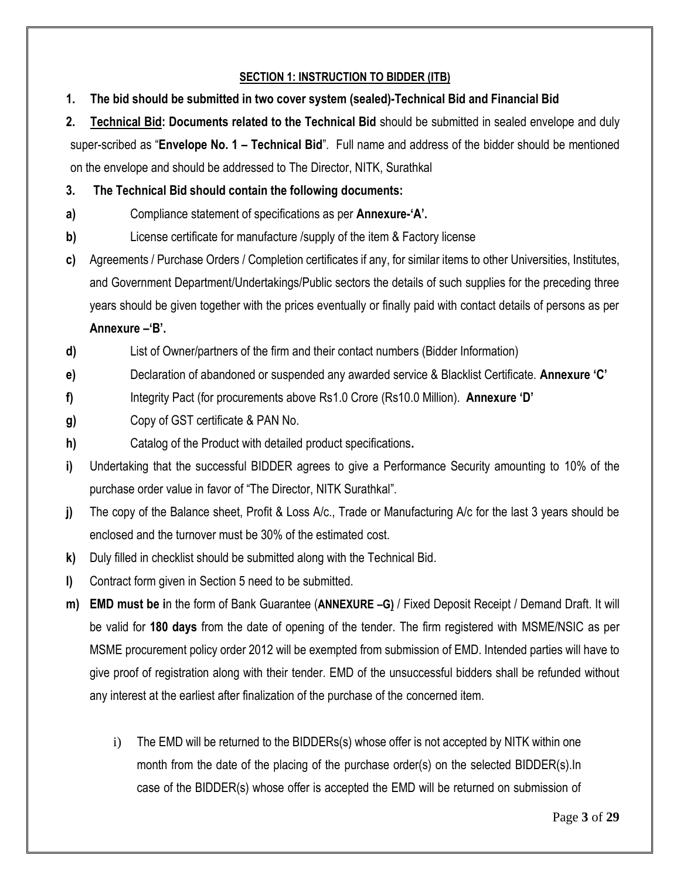## **SECTION 1: INSTRUCTION TO BIDDER (ITB)**

**1. The bid should be submitted in two cover system (sealed)-Technical Bid and Financial Bid**

**2. Technical Bid: Documents related to the Technical Bid** should be submitted in sealed envelope and duly super-scribed as "**Envelope No. 1 – Technical Bid**". Full name and address of the bidder should be mentioned on the envelope and should be addressed to The Director, NITK, Surathkal

#### **3. The Technical Bid should contain the following documents:**

- **a)** Compliance statement of specifications as per **Annexure-'A'.**
- **b)** License certificate for manufacture /supply of the item & Factory license
- **c)** Agreements / Purchase Orders / Completion certificates if any, for similar items to other Universities, Institutes, and Government Department/Undertakings/Public sectors the details of such supplies for the preceding three years should be given together with the prices eventually or finally paid with contact details of persons as per

#### **Annexure –'B'.**

**d)** List of Owner/partners of the firm and their contact numbers (Bidder Information)

- **e)** Declaration of abandoned or suspended any awarded service & Blacklist Certificate. **Annexure 'C'**
- **f)** Integrity Pact (for procurements above Rs1.0 Crore (Rs10.0 Million). **Annexure 'D'**
- **g)** Copy of GST certificate & PAN No.
- **h)** Catalog of the Product with detailed product specifications**.**
- **i)** Undertaking that the successful BIDDER agrees to give a Performance Security amounting to 10% of the purchase order value in favor of "The Director, NITK Surathkal".
- **j)** The copy of the Balance sheet, Profit & Loss A/c., Trade or Manufacturing A/c for the last 3 years should be enclosed and the turnover must be 30% of the estimated cost.
- **k)** Duly filled in checklist should be submitted along with the Technical Bid.
- **l)** Contract form given in Section 5 need to be submitted.
- **m) EMD must be i**n the form of Bank Guarantee (**ANNEXURE –G)** / Fixed Deposit Receipt / Demand Draft. It will be valid for **180 days** from the date of opening of the tender. The firm registered with MSME/NSIC as per MSME procurement policy order 2012 will be exempted from submission of EMD. Intended parties will have to give proof of registration along with their tender. EMD of the unsuccessful bidders shall be refunded without any interest at the earliest after finalization of the purchase of the concerned item.
	- i) The EMD will be returned to the BIDDERs(s) whose offer is not accepted by NITK within one month from the date of the placing of the purchase order(s) on the selected BIDDER(s).In case of the BIDDER(s) whose offer is accepted the EMD will be returned on submission of

Page **3** of **29**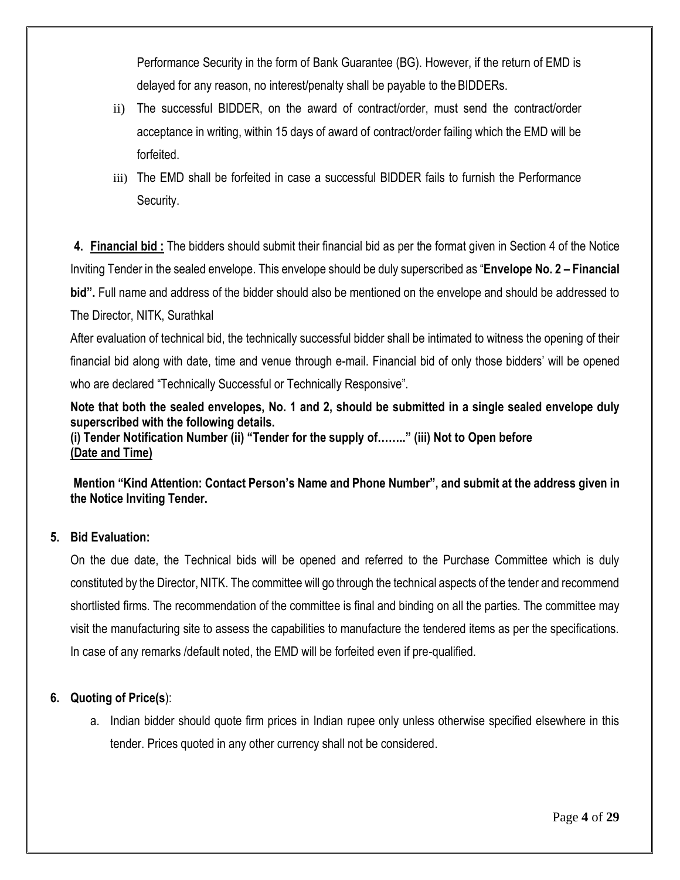Performance Security in the form of Bank Guarantee (BG). However, if the return of EMD is delayed for any reason, no interest/penalty shall be payable to the BIDDERs.

- ii) The successful BIDDER, on the award of contract/order, must send the contract/order acceptance in writing, within 15 days of award of contract/order failing which the EMD will be forfeited.
- iii) The EMD shall be forfeited in case a successful BIDDER fails to furnish the Performance Security.

**4. Financial bid :** The bidders should submit their financial bid as per the format given in Section 4 of the Notice Inviting Tender in the sealed envelope. This envelope should be duly superscribed as "**Envelope No. 2 – Financial bid".** Full name and address of the bidder should also be mentioned on the envelope and should be addressed to The Director, NITK, Surathkal

After evaluation of technical bid, the technically successful bidder shall be intimated to witness the opening of their financial bid along with date, time and venue through e-mail. Financial bid of only those bidders' will be opened who are declared "Technically Successful or Technically Responsive".

**Note that both the sealed envelopes, No. 1 and 2, should be submitted in a single sealed envelope duly superscribed with the following details. (i) Tender Notification Number (ii) "Tender for the supply of…….." (iii) Not to Open before** 

**(Date and Time)** 

**Mention "Kind Attention: Contact Person's Name and Phone Number", and submit at the address given in the Notice Inviting Tender.** 

#### **5. Bid Evaluation:**

On the due date, the Technical bids will be opened and referred to the Purchase Committee which is duly constituted by the Director, NITK. The committee will go through the technical aspects of the tender and recommend shortlisted firms. The recommendation of the committee is final and binding on all the parties. The committee may visit the manufacturing site to assess the capabilities to manufacture the tendered items as per the specifications. In case of any remarks /default noted, the EMD will be forfeited even if pre-qualified.

#### **6. Quoting of Price(s**):

a. Indian bidder should quote firm prices in Indian rupee only unless otherwise specified elsewhere in this tender. Prices quoted in any other currency shall not be considered.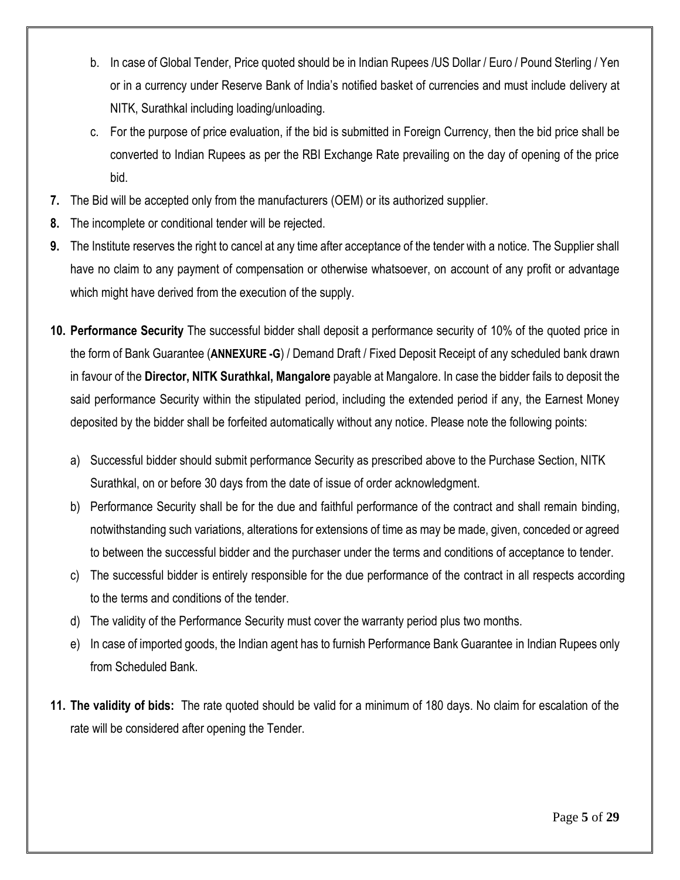- b. In case of Global Tender, Price quoted should be in Indian Rupees /US Dollar / Euro / Pound Sterling / Yen or in a currency under Reserve Bank of India's notified basket of currencies and must include delivery at NITK, Surathkal including loading/unloading.
- c. For the purpose of price evaluation, if the bid is submitted in Foreign Currency, then the bid price shall be converted to Indian Rupees as per the RBI Exchange Rate prevailing on the day of opening of the price bid.
- **7.** The Bid will be accepted only from the manufacturers (OEM) or its authorized supplier.
- **8.** The incomplete or conditional tender will be rejected.
- **9.** The Institute reserves the right to cancel at any time after acceptance of the tender with a notice. The Supplier shall have no claim to any payment of compensation or otherwise whatsoever, on account of any profit or advantage which might have derived from the execution of the supply.
- **10. Performance Security** The successful bidder shall deposit a performance security of 10% of the quoted price in the form of Bank Guarantee (**ANNEXURE -G**) / Demand Draft / Fixed Deposit Receipt of any scheduled bank drawn in favour of the **Director, NITK Surathkal, Mangalore** payable at Mangalore. In case the bidder fails to deposit the said performance Security within the stipulated period, including the extended period if any, the Earnest Money deposited by the bidder shall be forfeited automatically without any notice. Please note the following points:
	- a) Successful bidder should submit performance Security as prescribed above to the Purchase Section, NITK Surathkal, on or before 30 days from the date of issue of order acknowledgment.
	- b) Performance Security shall be for the due and faithful performance of the contract and shall remain binding, notwithstanding such variations, alterations for extensions of time as may be made, given, conceded or agreed to between the successful bidder and the purchaser under the terms and conditions of acceptance to tender.
	- c) The successful bidder is entirely responsible for the due performance of the contract in all respects according to the terms and conditions of the tender.
	- d) The validity of the Performance Security must cover the warranty period plus two months.
	- e) In case of imported goods, the Indian agent has to furnish Performance Bank Guarantee in Indian Rupees only from Scheduled Bank.
- **11. The validity of bids:** The rate quoted should be valid for a minimum of 180 days. No claim for escalation of the rate will be considered after opening the Tender.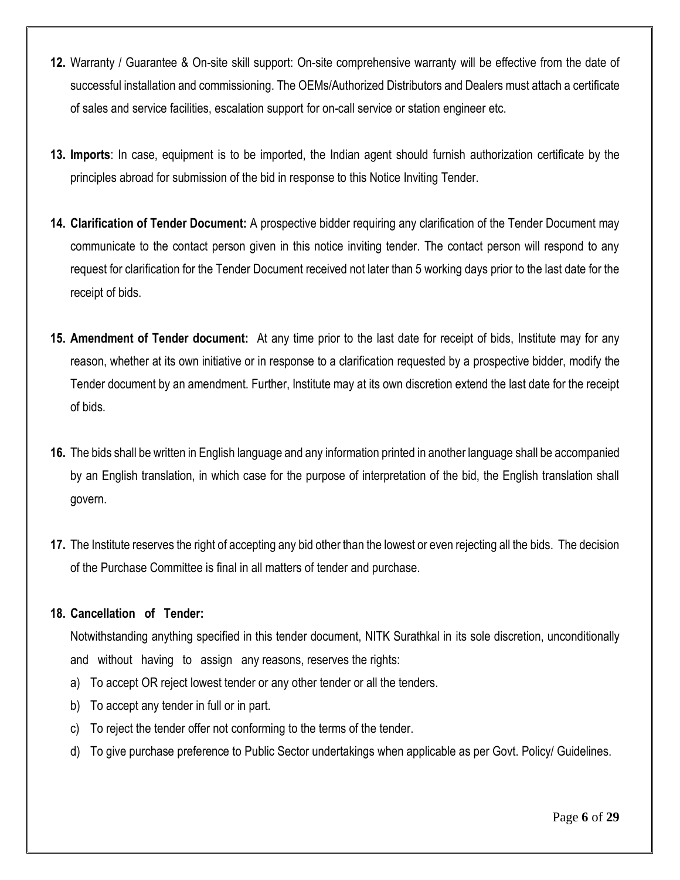- **12.** Warranty / Guarantee & On-site skill support: On-site comprehensive warranty will be effective from the date of successful installation and commissioning. The OEMs/Authorized Distributors and Dealers must attach a certificate of sales and service facilities, escalation support for on-call service or station engineer etc.
- **13. Imports**: In case, equipment is to be imported, the Indian agent should furnish authorization certificate by the principles abroad for submission of the bid in response to this Notice Inviting Tender.
- **14. Clarification of Tender Document:** A prospective bidder requiring any clarification of the Tender Document may communicate to the contact person given in this notice inviting tender. The contact person will respond to any request for clarification for the Tender Document received not later than 5 working days prior to the last date for the receipt of bids.
- **15. Amendment of Tender document:** At any time prior to the last date for receipt of bids, Institute may for any reason, whether at its own initiative or in response to a clarification requested by a prospective bidder, modify the Tender document by an amendment. Further, Institute may at its own discretion extend the last date for the receipt of bids.
- **16.** The bids shall be written in English language and any information printed in another language shall be accompanied by an English translation, in which case for the purpose of interpretation of the bid, the English translation shall govern.
- **17.** The Institute reserves the right of accepting any bid other than the lowest or even rejecting all the bids. The decision of the Purchase Committee is final in all matters of tender and purchase.

#### **18. Cancellation of Tender:**

Notwithstanding anything specified in this tender document, NITK Surathkal in its sole discretion, unconditionally and without having to assign any reasons, reserves the rights:

- a) To accept OR reject lowest tender or any other tender or all the tenders.
- b) To accept any tender in full or in part.
- c) To reject the tender offer not conforming to the terms of the tender.
- d) To give purchase preference to Public Sector undertakings when applicable as per Govt. Policy/ Guidelines.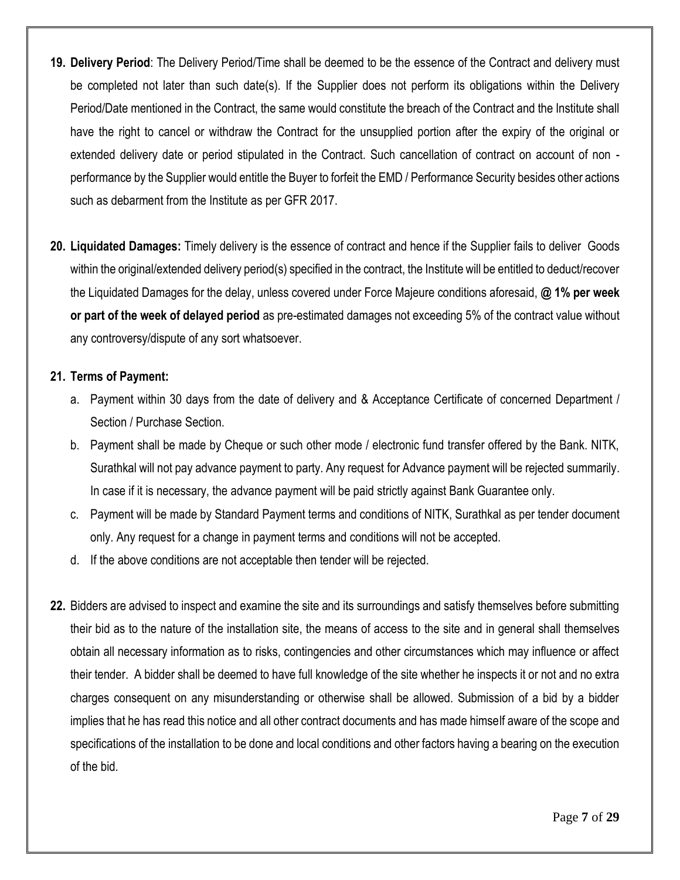- **19. Delivery Period**: The Delivery Period/Time shall be deemed to be the essence of the Contract and delivery must be completed not later than such date(s). If the Supplier does not perform its obligations within the Delivery Period/Date mentioned in the Contract, the same would constitute the breach of the Contract and the Institute shall have the right to cancel or withdraw the Contract for the unsupplied portion after the expiry of the original or extended delivery date or period stipulated in the Contract. Such cancellation of contract on account of non performance by the Supplier would entitle the Buyer to forfeit the EMD / Performance Security besides other actions such as debarment from the Institute as per GFR 2017.
- **20. Liquidated Damages:** Timely delivery is the essence of contract and hence if the Supplier fails to deliver Goods within the original/extended delivery period(s) specified in the contract, the Institute will be entitled to deduct/recover the Liquidated Damages for the delay, unless covered under Force Majeure conditions aforesaid, **@ 1% per week or part of the week of delayed period** as pre-estimated damages not exceeding 5% of the contract value without any controversy/dispute of any sort whatsoever.

#### **21. Terms of Payment:**

- a. Payment within 30 days from the date of delivery and & Acceptance Certificate of concerned Department / Section / Purchase Section.
- b. Payment shall be made by Cheque or such other mode / electronic fund transfer offered by the Bank. NITK, Surathkal will not pay advance payment to party. Any request for Advance payment will be rejected summarily. In case if it is necessary, the advance payment will be paid strictly against Bank Guarantee only.
- c. Payment will be made by Standard Payment terms and conditions of NITK, Surathkal as per tender document only. Any request for a change in payment terms and conditions will not be accepted.
- d. If the above conditions are not acceptable then tender will be rejected.
- **22.** Bidders are advised to inspect and examine the site and its surroundings and satisfy themselves before submitting their bid as to the nature of the installation site, the means of access to the site and in general shall themselves obtain all necessary information as to risks, contingencies and other circumstances which may influence or affect their tender. A bidder shall be deemed to have full knowledge of the site whether he inspects it or not and no extra charges consequent on any misunderstanding or otherwise shall be allowed. Submission of a bid by a bidder implies that he has read this notice and all other contract documents and has made himself aware of the scope and specifications of the installation to be done and local conditions and other factors having a bearing on the execution of the bid.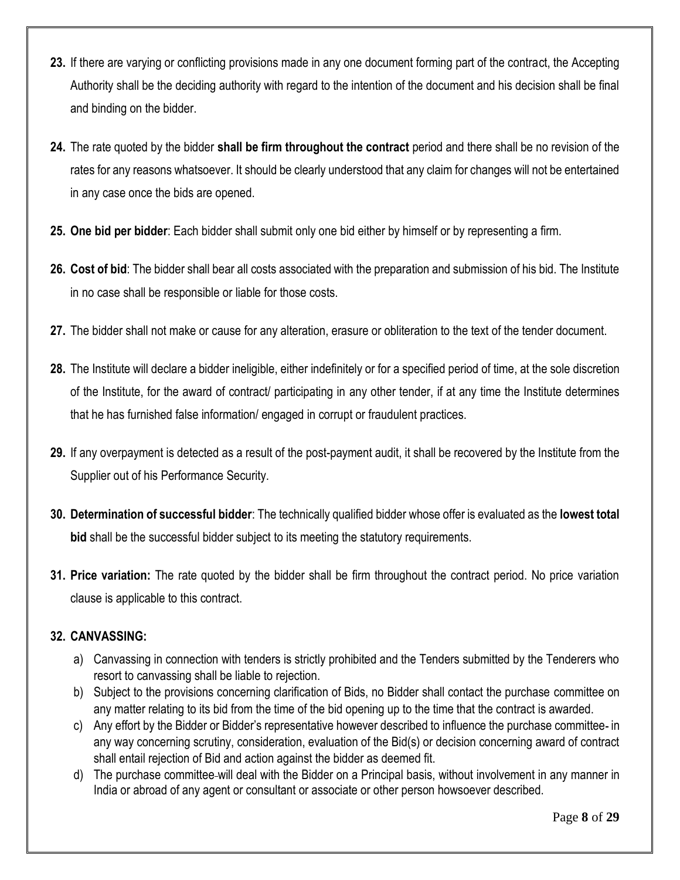- **23.** If there are varying or conflicting provisions made in any one document forming part of the contract, the Accepting Authority shall be the deciding authority with regard to the intention of the document and his decision shall be final and binding on the bidder.
- **24.** The rate quoted by the bidder **shall be firm throughout the contract** period and there shall be no revision of the rates for any reasons whatsoever. It should be clearly understood that any claim for changes will not be entertained in any case once the bids are opened.
- **25. One bid per bidder**: Each bidder shall submit only one bid either by himself or by representing a firm.
- **26. Cost of bid**: The bidder shall bear all costs associated with the preparation and submission of his bid. The Institute in no case shall be responsible or liable for those costs.
- **27.** The bidder shall not make or cause for any alteration, erasure or obliteration to the text of the tender document.
- **28.** The Institute will declare a bidder ineligible, either indefinitely or for a specified period of time, at the sole discretion of the Institute, for the award of contract/ participating in any other tender, if at any time the Institute determines that he has furnished false information/ engaged in corrupt or fraudulent practices.
- **29.** If any overpayment is detected as a result of the post-payment audit, it shall be recovered by the Institute from the Supplier out of his Performance Security.
- **30. Determination of successful bidder**: The technically qualified bidder whose offer is evaluated as the **lowest total bid** shall be the successful bidder subject to its meeting the statutory requirements.
- **31. Price variation:** The rate quoted by the bidder shall be firm throughout the contract period. No price variation clause is applicable to this contract.

# **32. CANVASSING:**

- a) Canvassing in connection with tenders is strictly prohibited and the Tenders submitted by the Tenderers who resort to canvassing shall be liable to rejection.
- b) Subject to the provisions concerning clarification of Bids, no Bidder shall contact the purchase committee on any matter relating to its bid from the time of the bid opening up to the time that the contract is awarded.
- c) Any effort by the Bidder or Bidder's representative however described to influence the purchase committee in any way concerning scrutiny, consideration, evaluation of the Bid(s) or decision concerning award of contract shall entail rejection of Bid and action against the bidder as deemed fit.
- d) The purchase committee will deal with the Bidder on a Principal basis, without involvement in any manner in India or abroad of any agent or consultant or associate or other person howsoever described.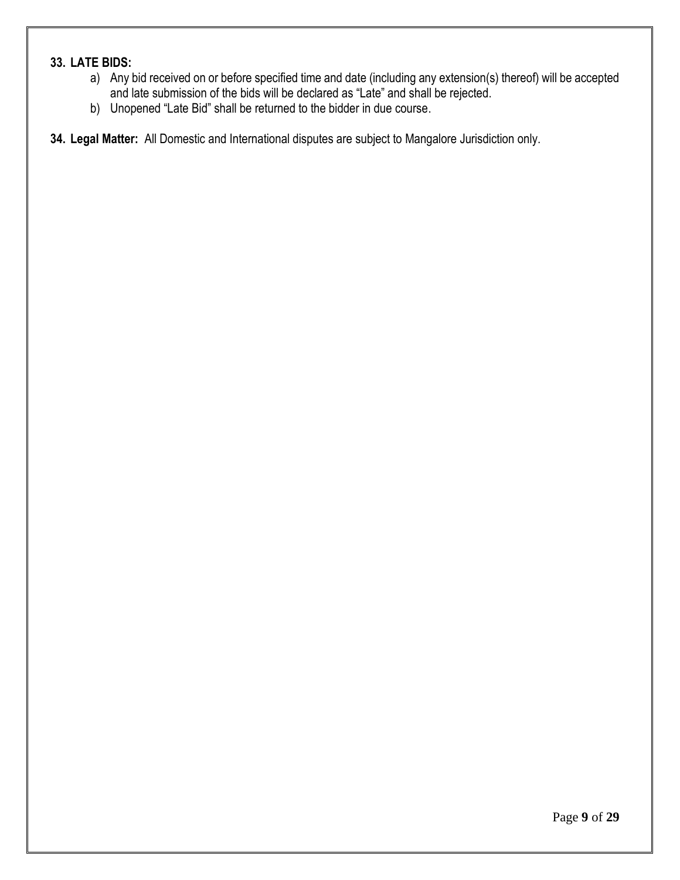# **33. LATE BIDS:**

- a) Any bid received on or before specified time and date (including any extension(s) thereof) will be accepted and late submission of the bids will be declared as "Late" and shall be rejected.
- b) Unopened "Late Bid" shall be returned to the bidder in due course.

**34. Legal Matter:** All Domestic and International disputes are subject to Mangalore Jurisdiction only.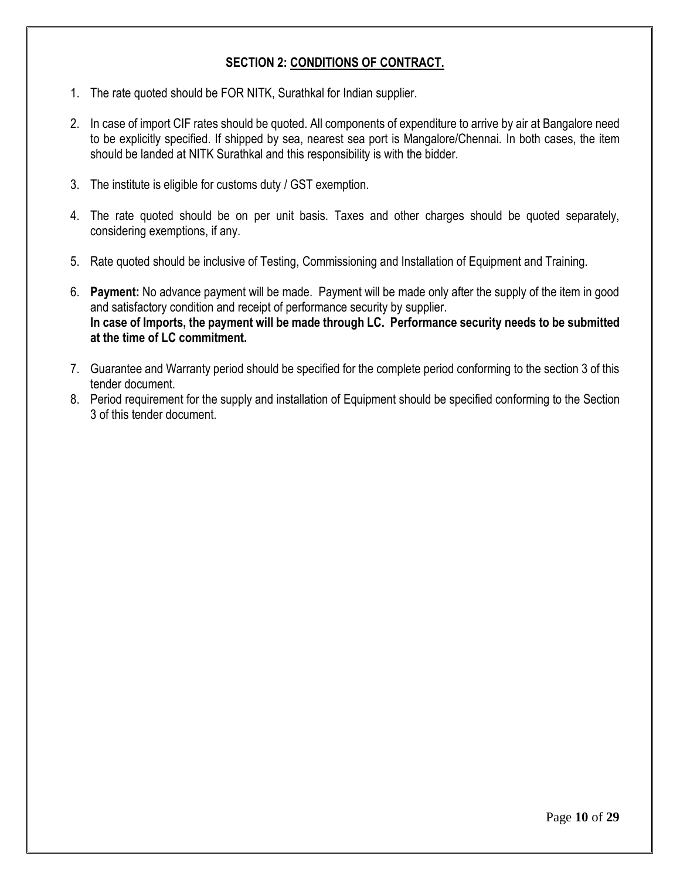## **SECTION 2: CONDITIONS OF CONTRACT.**

- 1. The rate quoted should be FOR NITK, Surathkal for Indian supplier.
- 2. In case of import CIF rates should be quoted. All components of expenditure to arrive by air at Bangalore need to be explicitly specified. If shipped by sea, nearest sea port is Mangalore/Chennai. In both cases, the item should be landed at NITK Surathkal and this responsibility is with the bidder.
- 3. The institute is eligible for customs duty / GST exemption.
- 4. The rate quoted should be on per unit basis. Taxes and other charges should be quoted separately, considering exemptions, if any.
- 5. Rate quoted should be inclusive of Testing, Commissioning and Installation of Equipment and Training.
- 6. **Payment:** No advance payment will be made. Payment will be made only after the supply of the item in good and satisfactory condition and receipt of performance security by supplier. **In case of Imports, the payment will be made through LC. Performance security needs to be submitted at the time of LC commitment.**
- 7. Guarantee and Warranty period should be specified for the complete period conforming to the section 3 of this tender document.
- 8. Period requirement for the supply and installation of Equipment should be specified conforming to the Section 3 of this tender document.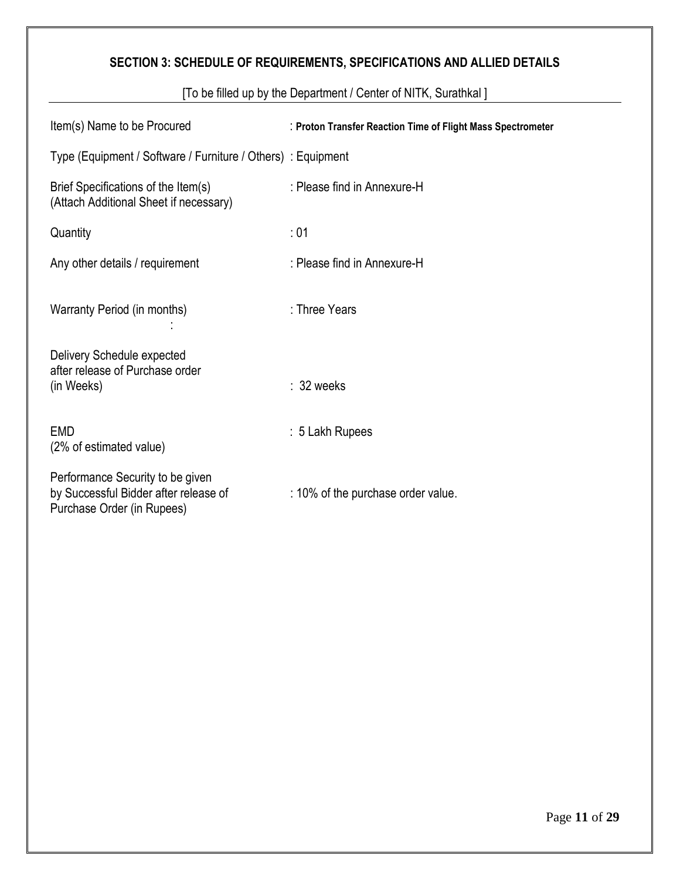# **SECTION 3: SCHEDULE OF REQUIREMENTS, SPECIFICATIONS AND ALLIED DETAILS**

| Item(s) Name to be Procured                                                                             | : Proton Transfer Reaction Time of Flight Mass Spectrometer |
|---------------------------------------------------------------------------------------------------------|-------------------------------------------------------------|
| Type (Equipment / Software / Furniture / Others) : Equipment                                            |                                                             |
| Brief Specifications of the Item(s)<br>(Attach Additional Sheet if necessary)                           | : Please find in Annexure-H                                 |
| Quantity                                                                                                | :01                                                         |
| Any other details / requirement                                                                         | : Please find in Annexure-H                                 |
| Warranty Period (in months)                                                                             | : Three Years                                               |
| Delivery Schedule expected<br>after release of Purchase order<br>(in Weeks)                             | $: 32$ weeks                                                |
| <b>EMD</b><br>(2% of estimated value)                                                                   | : 5 Lakh Rupees                                             |
| Performance Security to be given<br>by Successful Bidder after release of<br>Purchase Order (in Rupees) | : 10% of the purchase order value.                          |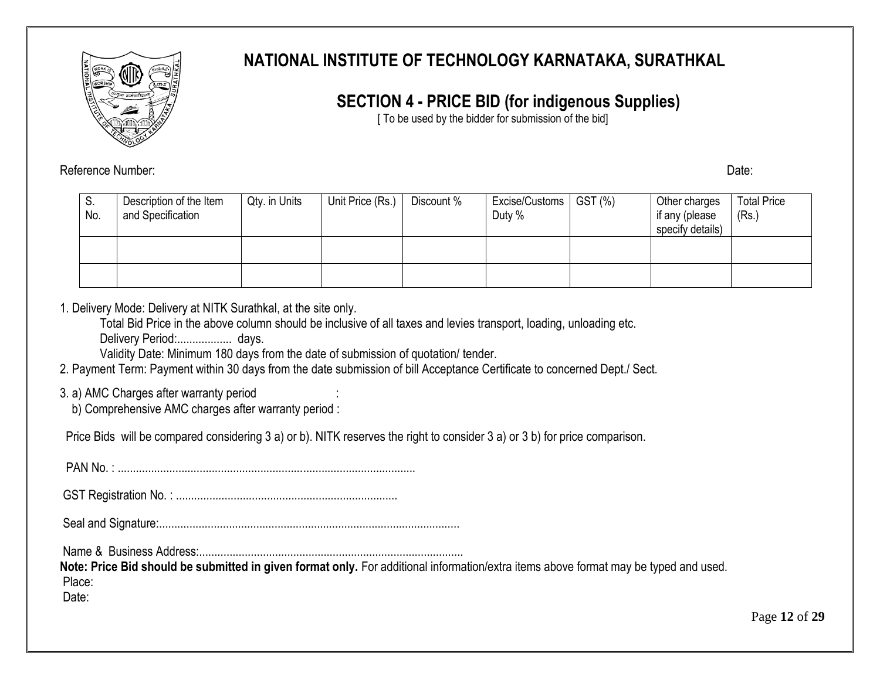

# **NATIONAL INSTITUTE OF TECHNOLOGY KARNATAKA, SURATHKAL**

# **SECTION 4 - PRICE BID (for indigenous Supplies)**

[ To be used by the bidder for submission of the bid]

Reference Number: Date: Date: Date: Date: Date: Date: Date: Date: Date: Date: Date: Date: Date: Date: Date: Date: Date: Date: Date: Date: Date: Date: Date: Date: Date: Date: Date: Date: Date: Date: Date: Date: Date: Date:

| I S.<br>No. | Description of the Item<br>and Specification | Qty. in Units | Unit Price (Rs.) | Discount % | Excise/Customs   GST (%)<br>Duty % | Other charges<br>if any (please<br>specify details) | <b>Total Price</b><br>(Rs.) |
|-------------|----------------------------------------------|---------------|------------------|------------|------------------------------------|-----------------------------------------------------|-----------------------------|
|             |                                              |               |                  |            |                                    |                                                     |                             |
|             |                                              |               |                  |            |                                    |                                                     |                             |

1. Delivery Mode: Delivery at NITK Surathkal, at the site only.

Total Bid Price in the above column should be inclusive of all taxes and levies transport, loading, unloading etc.

Delivery Period:.................. days.

Validity Date: Minimum 180 days from the date of submission of quotation/ tender.

2. Payment Term: Payment within 30 days from the date submission of bill Acceptance Certificate to concerned Dept./ Sect.

# 3. a) AMC Charges after warranty period :

b) Comprehensive AMC charges after warranty period :

Price Bids will be compared considering 3 a) or b). NITK reserves the right to consider 3 a) or 3 b) for price comparison.

PAN No. : ..................................................................................................

GST Registration No. : .........................................................................

Seal and Signature:...................................................................................................

Name & Business Address:.......................................................................................

**Note: Price Bid should be submitted in given format only.** For additional information/extra items above format may be typed and used. Place:

Date: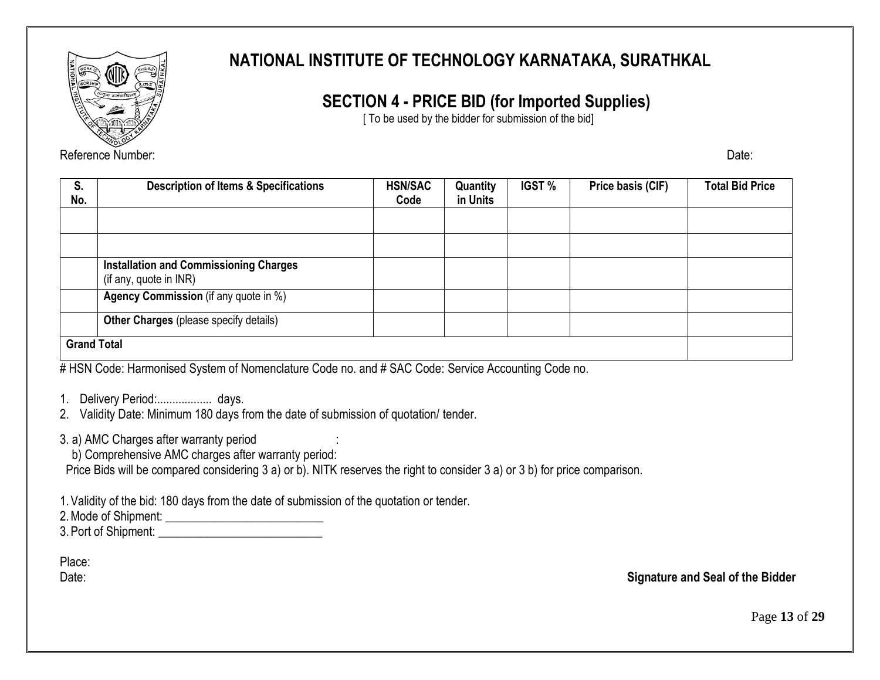

Reference Number: Date: Date: Date: Date: Date: Date: Date: Date: Date: Date: Date: Date: Date: Date: Date: Date: Date: Date: Date: Date: Date: Date: Date: Date: Date: Date: Date: Date: Date: Date: Date: Date: Date: Date:

# **NATIONAL INSTITUTE OF TECHNOLOGY KARNATAKA, SURATHKAL**

# **SECTION 4 - PRICE BID (for Imported Supplies)**

[ To be used by the bidder for submission of the bid]

| S.<br>No.                                                                                                                                     | <b>Description of Items &amp; Specifications</b>                        | <b>HSN/SAC</b><br>Code | Quantity<br>in Units | <b>IGST %</b> | Price basis (CIF) | <b>Total Bid Price</b> |
|-----------------------------------------------------------------------------------------------------------------------------------------------|-------------------------------------------------------------------------|------------------------|----------------------|---------------|-------------------|------------------------|
|                                                                                                                                               |                                                                         |                        |                      |               |                   |                        |
|                                                                                                                                               |                                                                         |                        |                      |               |                   |                        |
|                                                                                                                                               | <b>Installation and Commissioning Charges</b><br>(if any, quote in INR) |                        |                      |               |                   |                        |
|                                                                                                                                               | <b>Agency Commission</b> (if any quote in %)                            |                        |                      |               |                   |                        |
|                                                                                                                                               | <b>Other Charges (please specify details)</b>                           |                        |                      |               |                   |                        |
| <b>Grand Total</b><br>$\#$ LION Order Hence when $\Lambda$ Orders of Neuron details Orders and $\#$ OAO Order Original Assembly of Orders and |                                                                         |                        |                      |               |                   |                        |

# HSN Code: Harmonised System of Nomenclature Code no. and # SAC Code: Service Accounting Code no.

- 2. Validity Date: Minimum 180 days from the date of submission of quotation/ tender.
- 3. a) AMC Charges after warranty period :
	- b) Comprehensive AMC charges after warranty period:

Price Bids will be compared considering 3 a) or b). NITK reserves the right to consider 3 a) or 3 b) for price comparison.

1.Validity of the bid: 180 days from the date of submission of the quotation or tender.

2.Mode of Shipment: \_\_\_\_\_\_\_\_\_\_\_\_\_\_\_\_\_\_\_\_\_\_\_\_\_\_

3.Port of Shipment: \_\_\_\_\_\_\_\_\_\_\_\_\_\_\_\_\_\_\_\_\_\_\_\_\_\_\_

Place:

Date: **Signature and Seal of the Bidder**

Page **13** of **29**

<sup>1.</sup> Delivery Period:..................... days.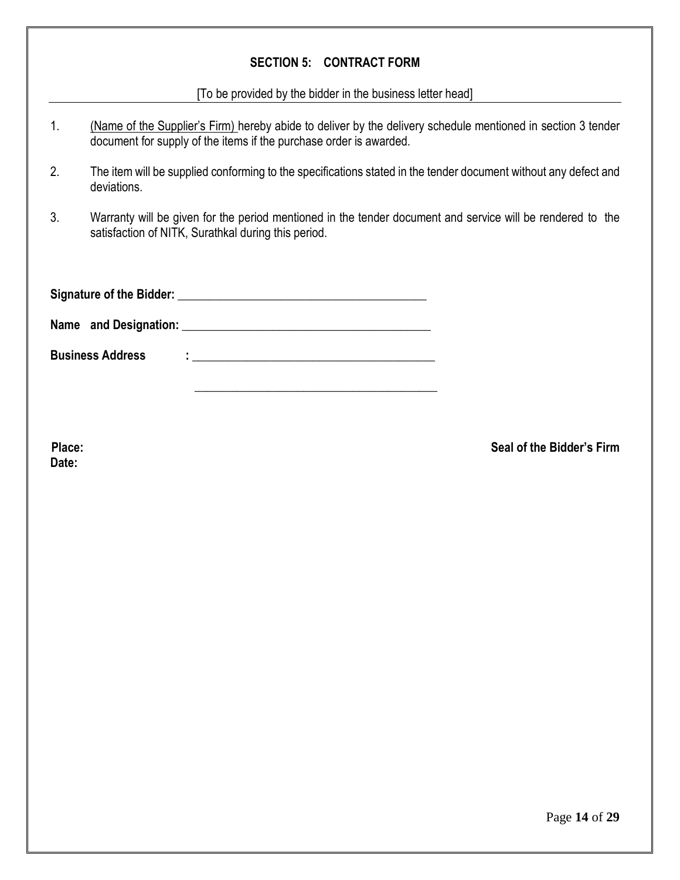# **SECTION 5: CONTRACT FORM**

[To be provided by the bidder in the business letter head]

| 1. | (Name of the Supplier's Firm) hereby abide to deliver by the delivery schedule mentioned in section 3 tender<br>document for supply of the items if the purchase order is awarded. |  |  |  |  |  |
|----|------------------------------------------------------------------------------------------------------------------------------------------------------------------------------------|--|--|--|--|--|
| 2. | The item will be supplied conforming to the specifications stated in the tender document without any defect and<br>deviations.                                                     |  |  |  |  |  |
| 3. | Warranty will be given for the period mentioned in the tender document and service will be rendered to the<br>satisfaction of NITK, Surathkal during this period.                  |  |  |  |  |  |
|    |                                                                                                                                                                                    |  |  |  |  |  |
|    | Name and Designation: Name and Designation:                                                                                                                                        |  |  |  |  |  |
|    | <b>Business Address</b>                                                                                                                                                            |  |  |  |  |  |

**Date:**

**Place: Seal of the Bidder's Firm**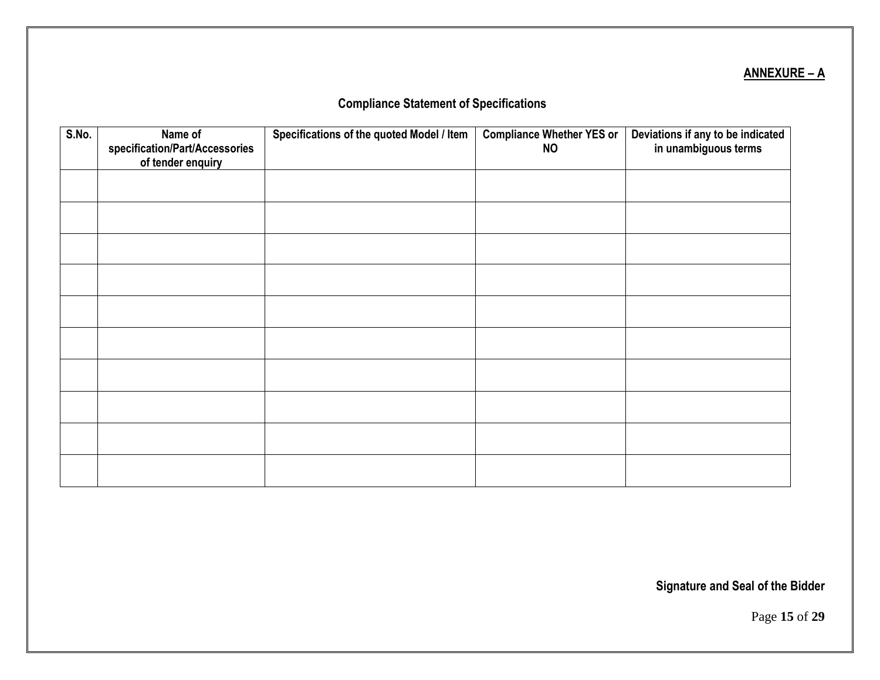# **ANNEXURE – A**

# **Compliance Statement of Specifications**

| S.No. | Name of<br>specification/Part/Accessories<br>of tender enquiry | Specifications of the quoted Model / Item | <b>Compliance Whether YES or</b><br><b>NO</b> | Deviations if any to be indicated<br>in unambiguous terms |
|-------|----------------------------------------------------------------|-------------------------------------------|-----------------------------------------------|-----------------------------------------------------------|
|       |                                                                |                                           |                                               |                                                           |
|       |                                                                |                                           |                                               |                                                           |
|       |                                                                |                                           |                                               |                                                           |
|       |                                                                |                                           |                                               |                                                           |
|       |                                                                |                                           |                                               |                                                           |
|       |                                                                |                                           |                                               |                                                           |
|       |                                                                |                                           |                                               |                                                           |
|       |                                                                |                                           |                                               |                                                           |
|       |                                                                |                                           |                                               |                                                           |
|       |                                                                |                                           |                                               |                                                           |

**Signature and Seal of the Bidder**

Page **15** of **29**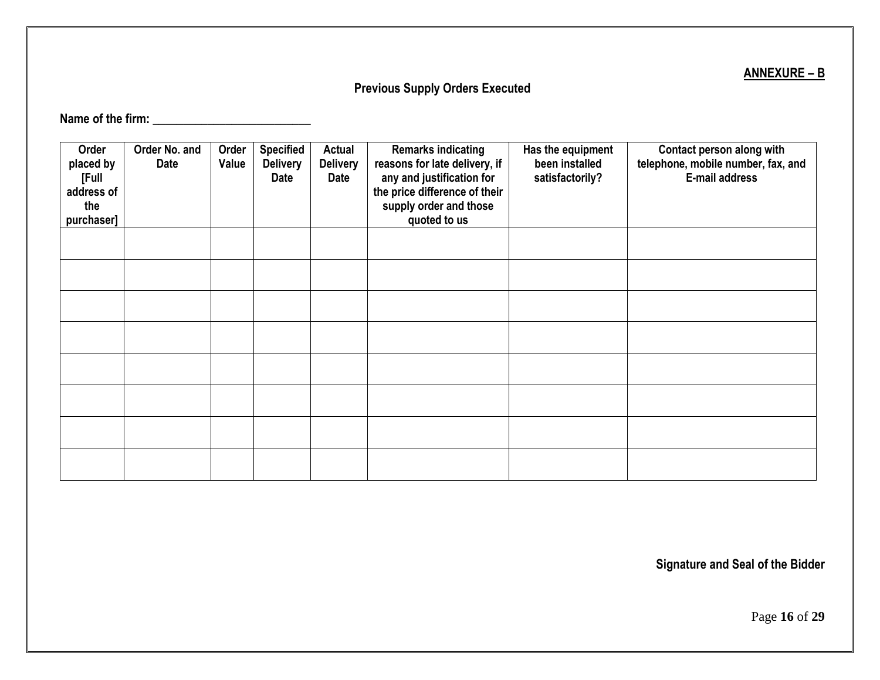# **ANNEXURE – B**

# **Previous Supply Orders Executed**

**Name of the firm: \_\_\_\_\_\_\_\_\_\_\_\_\_\_\_\_\_\_\_\_\_\_\_\_\_\_**

| Order<br>placed by<br>[Full<br>address of<br>the<br>purchaser] | Order No. and<br>Date | Order<br>Value | <b>Specified</b><br><b>Delivery</b><br><b>Date</b> | Actual<br><b>Delivery</b><br>Date | <b>Remarks indicating</b><br>reasons for late delivery, if<br>any and justification for<br>the price difference of their<br>supply order and those<br>quoted to us | Has the equipment<br>been installed<br>satisfactorily? | Contact person along with<br>telephone, mobile number, fax, and<br>E-mail address |
|----------------------------------------------------------------|-----------------------|----------------|----------------------------------------------------|-----------------------------------|--------------------------------------------------------------------------------------------------------------------------------------------------------------------|--------------------------------------------------------|-----------------------------------------------------------------------------------|
|                                                                |                       |                |                                                    |                                   |                                                                                                                                                                    |                                                        |                                                                                   |
|                                                                |                       |                |                                                    |                                   |                                                                                                                                                                    |                                                        |                                                                                   |
|                                                                |                       |                |                                                    |                                   |                                                                                                                                                                    |                                                        |                                                                                   |
|                                                                |                       |                |                                                    |                                   |                                                                                                                                                                    |                                                        |                                                                                   |
|                                                                |                       |                |                                                    |                                   |                                                                                                                                                                    |                                                        |                                                                                   |
|                                                                |                       |                |                                                    |                                   |                                                                                                                                                                    |                                                        |                                                                                   |
|                                                                |                       |                |                                                    |                                   |                                                                                                                                                                    |                                                        |                                                                                   |
|                                                                |                       |                |                                                    |                                   |                                                                                                                                                                    |                                                        |                                                                                   |

**Signature and Seal of the Bidder**

Page **16** of **29**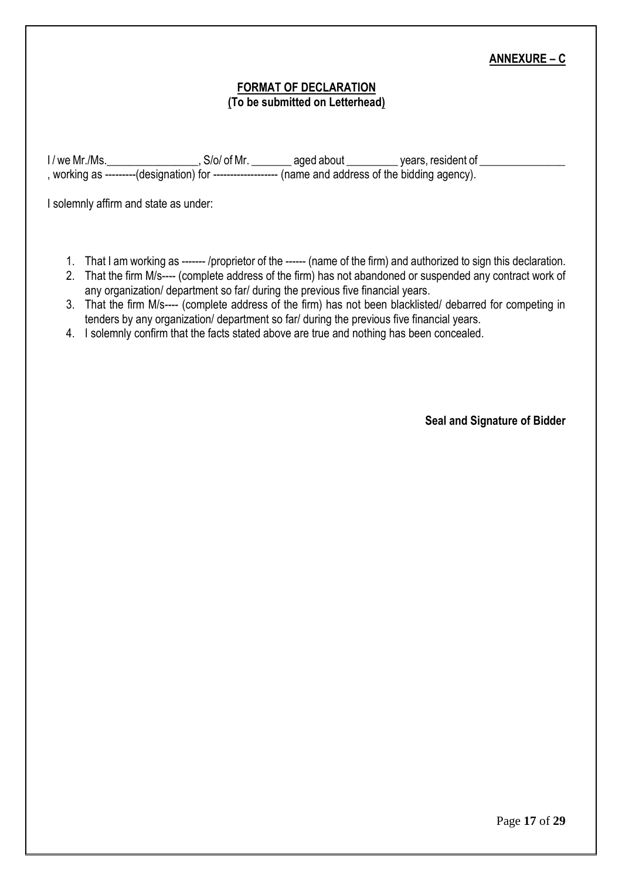## **ANNEXURE – C**

#### **FORMAT OF DECLARATION (To be submitted on Letterhead)**

I / we Mr./Ms. \_\_\_\_\_\_\_\_\_\_\_\_\_\_\_\_\_\_, S/o/ of Mr. \_\_\_\_\_\_\_\_ aged about \_\_\_\_\_\_\_\_\_ years, resident of \_\_\_\_\_\_\_\_\_\_\_\_\_ , working as ---------(designation) for ------------------- (name and address of the bidding agency).

I solemnly affirm and state as under:

- 1. That I am working as ------- /proprietor of the ------ (name of the firm) and authorized to sign this declaration.
- 2. That the firm M/s---- (complete address of the firm) has not abandoned or suspended any contract work of any organization/ department so far/ during the previous five financial years.
- 3. That the firm M/s---- (complete address of the firm) has not been blacklisted/ debarred for competing in tenders by any organization/ department so far/ during the previous five financial years.
- 4. I solemnly confirm that the facts stated above are true and nothing has been concealed.

**Seal and Signature of Bidder**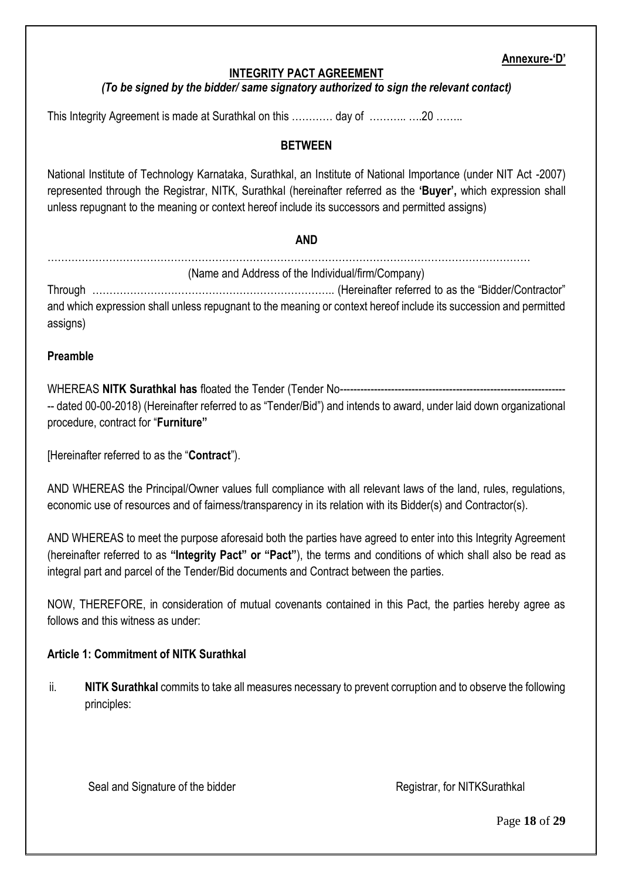#### **Annexure-'D'**

## **INTEGRITY PACT AGREEMENT**

#### *(To be signed by the bidder/ same signatory authorized to sign the relevant contact)*

This Integrity Agreement is made at Surathkal on this ………… day of ………… …20 ………

#### **BETWEEN**

National Institute of Technology Karnataka, Surathkal, an Institute of National Importance (under NIT Act -2007) represented through the Registrar, NITK, Surathkal (hereinafter referred as the **'Buyer',** which expression shall unless repugnant to the meaning or context hereof include its successors and permitted assigns)

#### **AND**

| (Name and Address of the Individual/firm/Company)                                                                             |  |
|-------------------------------------------------------------------------------------------------------------------------------|--|
| and which expression shall unless repugnant to the meaning or context hereof include its succession and permitted<br>assigns) |  |

#### **Preamble**

WHEREAS **NITK Surathkal has** floated the Tender (Tender No------------------------------------------------------------------ -- dated 00-00-2018) (Hereinafter referred to as "Tender/Bid") and intends to award, under laid down organizational procedure, contract for "**Furniture"**

[Hereinafter referred to as the "**Contract**").

AND WHEREAS the Principal/Owner values full compliance with all relevant laws of the land, rules, regulations, economic use of resources and of fairness/transparency in its relation with its Bidder(s) and Contractor(s).

AND WHEREAS to meet the purpose aforesaid both the parties have agreed to enter into this Integrity Agreement (hereinafter referred to as **"Integrity Pact" or "Pact"**), the terms and conditions of which shall also be read as integral part and parcel of the Tender/Bid documents and Contract between the parties.

NOW, THEREFORE, in consideration of mutual covenants contained in this Pact, the parties hereby agree as follows and this witness as under:

#### **Article 1: Commitment of NITK Surathkal**

ii. **NITK Surathkal** commits to take all measures necessary to prevent corruption and to observe the following principles:

Seal and Signature of the bidder Registrar, for NITKSurathkal

Page **18** of **29**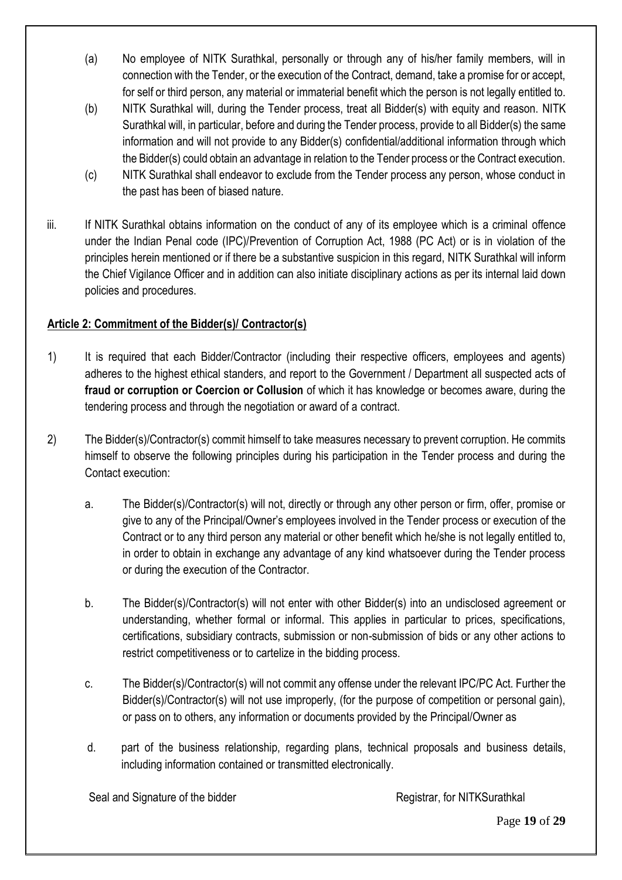- (a) No employee of NITK Surathkal, personally or through any of his/her family members, will in connection with the Tender, or the execution of the Contract, demand, take a promise for or accept, for self or third person, any material or immaterial benefit which the person is not legally entitled to.
- (b) NITK Surathkal will, during the Tender process, treat all Bidder(s) with equity and reason. NITK Surathkal will, in particular, before and during the Tender process, provide to all Bidder(s) the same information and will not provide to any Bidder(s) confidential/additional information through which the Bidder(s) could obtain an advantage in relation to the Tender process or the Contract execution.
- (c) NITK Surathkal shall endeavor to exclude from the Tender process any person, whose conduct in the past has been of biased nature.
- iii. If NITK Surathkal obtains information on the conduct of any of its employee which is a criminal offence under the Indian Penal code (IPC)/Prevention of Corruption Act, 1988 (PC Act) or is in violation of the principles herein mentioned or if there be a substantive suspicion in this regard, NITK Surathkal will inform the Chief Vigilance Officer and in addition can also initiate disciplinary actions as per its internal laid down policies and procedures.

# **Article 2: Commitment of the Bidder(s)/ Contractor(s)**

- 1) It is required that each Bidder/Contractor (including their respective officers, employees and agents) adheres to the highest ethical standers, and report to the Government / Department all suspected acts of **fraud or corruption or Coercion or Collusion** of which it has knowledge or becomes aware, during the tendering process and through the negotiation or award of a contract.
- 2) The Bidder(s)/Contractor(s) commit himself to take measures necessary to prevent corruption. He commits himself to observe the following principles during his participation in the Tender process and during the Contact execution:
	- a. The Bidder(s)/Contractor(s) will not, directly or through any other person or firm, offer, promise or give to any of the Principal/Owner's employees involved in the Tender process or execution of the Contract or to any third person any material or other benefit which he/she is not legally entitled to, in order to obtain in exchange any advantage of any kind whatsoever during the Tender process or during the execution of the Contractor.
	- b. The Bidder(s)/Contractor(s) will not enter with other Bidder(s) into an undisclosed agreement or understanding, whether formal or informal. This applies in particular to prices, specifications, certifications, subsidiary contracts, submission or non-submission of bids or any other actions to restrict competitiveness or to cartelize in the bidding process.
	- c. The Bidder(s)/Contractor(s) will not commit any offense under the relevant IPC/PC Act. Further the Bidder(s)/Contractor(s) will not use improperly, (for the purpose of competition or personal gain), or pass on to others, any information or documents provided by the Principal/Owner as
	- d. part of the business relationship, regarding plans, technical proposals and business details, including information contained or transmitted electronically.

Seal and Signature of the bidder Registrar, for NITKSurathkal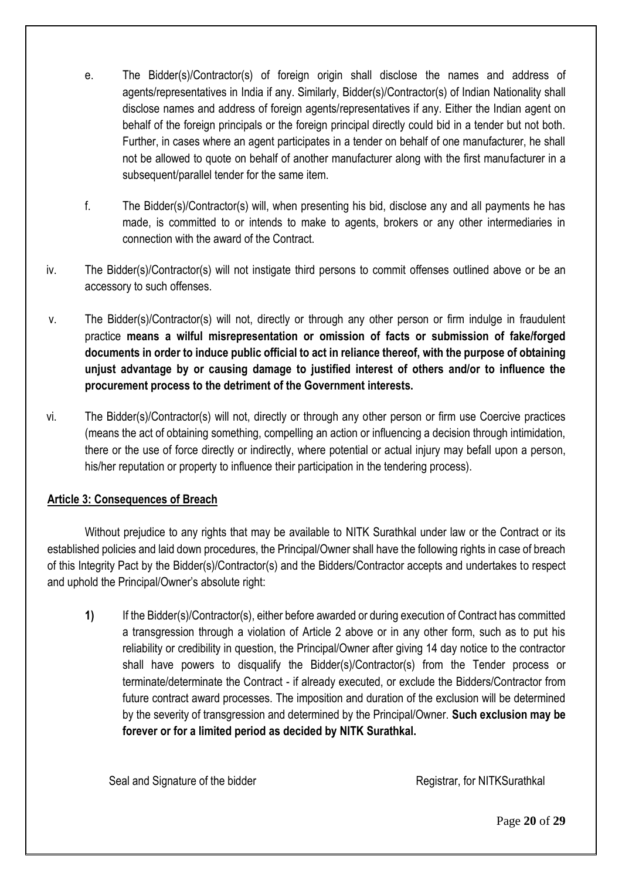- e. The Bidder(s)/Contractor(s) of foreign origin shall disclose the names and address of agents/representatives in India if any. Similarly, Bidder(s)/Contractor(s) of Indian Nationality shall disclose names and address of foreign agents/representatives if any. Either the Indian agent on behalf of the foreign principals or the foreign principal directly could bid in a tender but not both. Further, in cases where an agent participates in a tender on behalf of one manufacturer, he shall not be allowed to quote on behalf of another manufacturer along with the first manufacturer in a subsequent/parallel tender for the same item.
- f. The Bidder(s)/Contractor(s) will, when presenting his bid, disclose any and all payments he has made, is committed to or intends to make to agents, brokers or any other intermediaries in connection with the award of the Contract.
- iv. The Bidder(s)/Contractor(s) will not instigate third persons to commit offenses outlined above or be an accessory to such offenses.
- v. The Bidder(s)/Contractor(s) will not, directly or through any other person or firm indulge in fraudulent practice **means a wilful misrepresentation or omission of facts or submission of fake/forged documents in order to induce public official to act in reliance thereof, with the purpose of obtaining unjust advantage by or causing damage to justified interest of others and/or to influence the procurement process to the detriment of the Government interests.**
- vi. The Bidder(s)/Contractor(s) will not, directly or through any other person or firm use Coercive practices (means the act of obtaining something, compelling an action or influencing a decision through intimidation, there or the use of force directly or indirectly, where potential or actual injury may befall upon a person, his/her reputation or property to influence their participation in the tendering process).

# **Article 3: Consequences of Breach**

Without prejudice to any rights that may be available to NITK Surathkal under law or the Contract or its established policies and laid down procedures, the Principal/Owner shall have the following rights in case of breach of this Integrity Pact by the Bidder(s)/Contractor(s) and the Bidders/Contractor accepts and undertakes to respect and uphold the Principal/Owner's absolute right:

**1)** If the Bidder(s)/Contractor(s), either before awarded or during execution of Contract has committed a transgression through a violation of Article 2 above or in any other form, such as to put his reliability or credibility in question, the Principal/Owner after giving 14 day notice to the contractor shall have powers to disqualify the Bidder(s)/Contractor(s) from the Tender process or terminate/determinate the Contract - if already executed, or exclude the Bidders/Contractor from future contract award processes. The imposition and duration of the exclusion will be determined by the severity of transgression and determined by the Principal/Owner. **Such exclusion may be forever or for a limited period as decided by NITK Surathkal.**

Seal and Signature of the bidder Registrar, for NITKSurathkal

Page **20** of **29**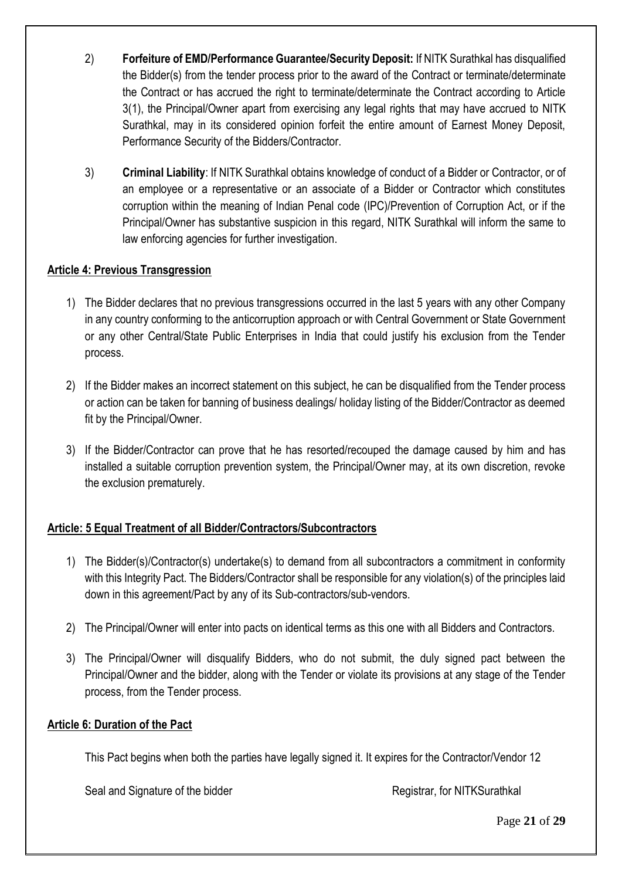- 2) **Forfeiture of EMD/Performance Guarantee/Security Deposit:** If NITK Surathkal has disqualified the Bidder(s) from the tender process prior to the award of the Contract or terminate/determinate the Contract or has accrued the right to terminate/determinate the Contract according to Article 3(1), the Principal/Owner apart from exercising any legal rights that may have accrued to NITK Surathkal, may in its considered opinion forfeit the entire amount of Earnest Money Deposit, Performance Security of the Bidders/Contractor.
- 3) **Criminal Liability**: If NITK Surathkal obtains knowledge of conduct of a Bidder or Contractor, or of an employee or a representative or an associate of a Bidder or Contractor which constitutes corruption within the meaning of Indian Penal code (IPC)/Prevention of Corruption Act, or if the Principal/Owner has substantive suspicion in this regard, NITK Surathkal will inform the same to law enforcing agencies for further investigation.

## **Article 4: Previous Transgression**

- 1) The Bidder declares that no previous transgressions occurred in the last 5 years with any other Company in any country conforming to the anticorruption approach or with Central Government or State Government or any other Central/State Public Enterprises in India that could justify his exclusion from the Tender process.
- 2) If the Bidder makes an incorrect statement on this subject, he can be disqualified from the Tender process or action can be taken for banning of business dealings/ holiday listing of the Bidder/Contractor as deemed fit by the Principal/Owner.
- 3) If the Bidder/Contractor can prove that he has resorted/recouped the damage caused by him and has installed a suitable corruption prevention system, the Principal/Owner may, at its own discretion, revoke the exclusion prematurely.

# **Article: 5 Equal Treatment of all Bidder/Contractors/Subcontractors**

- 1) The Bidder(s)/Contractor(s) undertake(s) to demand from all subcontractors a commitment in conformity with this Integrity Pact. The Bidders/Contractor shall be responsible for any violation(s) of the principles laid down in this agreement/Pact by any of its Sub-contractors/sub-vendors.
- 2) The Principal/Owner will enter into pacts on identical terms as this one with all Bidders and Contractors.
- 3) The Principal/Owner will disqualify Bidders, who do not submit, the duly signed pact between the Principal/Owner and the bidder, along with the Tender or violate its provisions at any stage of the Tender process, from the Tender process.

#### **Article 6: Duration of the Pact**

This Pact begins when both the parties have legally signed it. It expires for the Contractor/Vendor 12

Seal and Signature of the bidder Registrar, for NITKSurathkal

Page **21** of **29**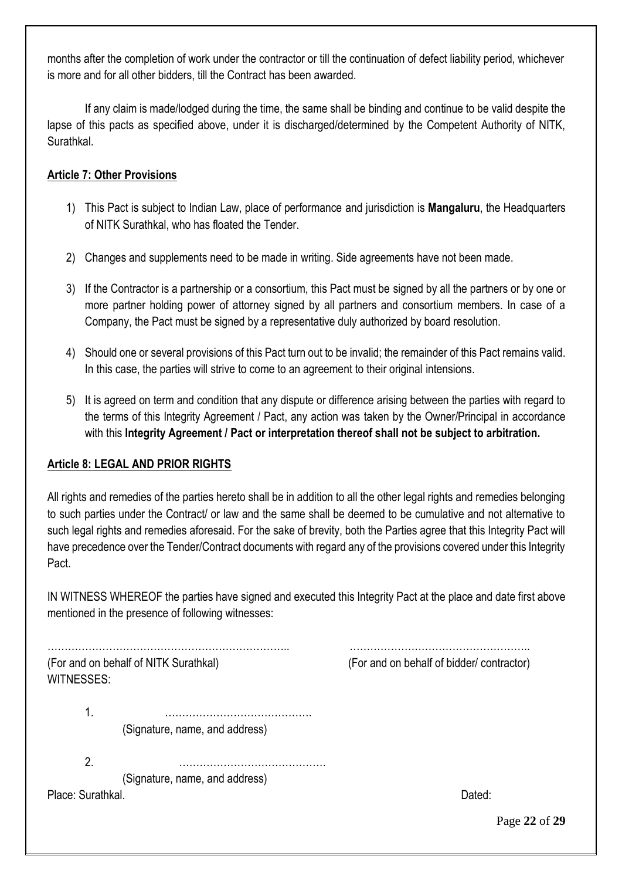months after the completion of work under the contractor or till the continuation of defect liability period, whichever is more and for all other bidders, till the Contract has been awarded.

If any claim is made/lodged during the time, the same shall be binding and continue to be valid despite the lapse of this pacts as specified above, under it is discharged/determined by the Competent Authority of NITK, Surathkal.

## **Article 7: Other Provisions**

- 1) This Pact is subject to Indian Law, place of performance and jurisdiction is **Mangaluru**, the Headquarters of NITK Surathkal, who has floated the Tender.
- 2) Changes and supplements need to be made in writing. Side agreements have not been made.
- 3) If the Contractor is a partnership or a consortium, this Pact must be signed by all the partners or by one or more partner holding power of attorney signed by all partners and consortium members. In case of a Company, the Pact must be signed by a representative duly authorized by board resolution.
- 4) Should one or several provisions of this Pact turn out to be invalid; the remainder of this Pact remains valid. In this case, the parties will strive to come to an agreement to their original intensions.
- 5) It is agreed on term and condition that any dispute or difference arising between the parties with regard to the terms of this Integrity Agreement / Pact, any action was taken by the Owner/Principal in accordance with this **Integrity Agreement / Pact or interpretation thereof shall not be subject to arbitration.**

# **Article 8: LEGAL AND PRIOR RIGHTS**

All rights and remedies of the parties hereto shall be in addition to all the other legal rights and remedies belonging to such parties under the Contract/ or law and the same shall be deemed to be cumulative and not alternative to such legal rights and remedies aforesaid. For the sake of brevity, both the Parties agree that this Integrity Pact will have precedence over the Tender/Contract documents with regard any of the provisions covered under this Integrity Pact.

IN WITNESS WHEREOF the parties have signed and executed this Integrity Pact at the place and date first above mentioned in the presence of following witnesses:

WITNESSES:

…………………………………………………………….. …………………………………………….. (For and on behalf of NITK Surathkal) (For and on behalf of bidder/ contractor)

1. ……………………………………. (Signature, name, and address)

 $2\overline{a}$ 

(Signature, name, and address) Place: Surathkal. Dated: 2007. 2008. 2009. 2009. 2012. 2014. 2016. 2017. 2018. 2018. 2019. 2018. 2019. 2018. 2019. 2019. 2019. 2019. 2019. 2019. 2019. 2019. 2019. 2019. 2019. 2019. 2019. 2019. 2019. 2019. 2019. 2019. 2019.

Page **22** of **29**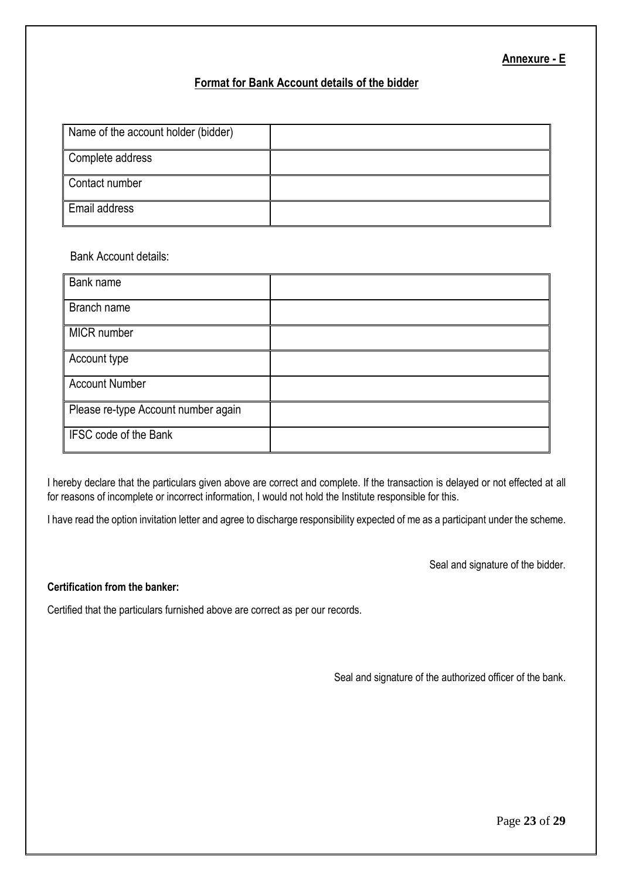#### **Annexure - E**

#### **Format for Bank Account details of the bidder**

| Name of the account holder (bidder) |  |
|-------------------------------------|--|
| Complete address                    |  |
| Contact number                      |  |
| <b>Email address</b>                |  |

#### Bank Account details:

| Bank name                           |  |
|-------------------------------------|--|
| Branch name                         |  |
| MICR number                         |  |
| Account type                        |  |
| <b>Account Number</b>               |  |
| Please re-type Account number again |  |
| IFSC code of the Bank               |  |

I hereby declare that the particulars given above are correct and complete. If the transaction is delayed or not effected at all for reasons of incomplete or incorrect information, I would not hold the Institute responsible for this.

I have read the option invitation letter and agree to discharge responsibility expected of me as a participant under the scheme.

Seal and signature of the bidder.

#### **Certification from the banker:**

Certified that the particulars furnished above are correct as per our records.

Seal and signature of the authorized officer of the bank.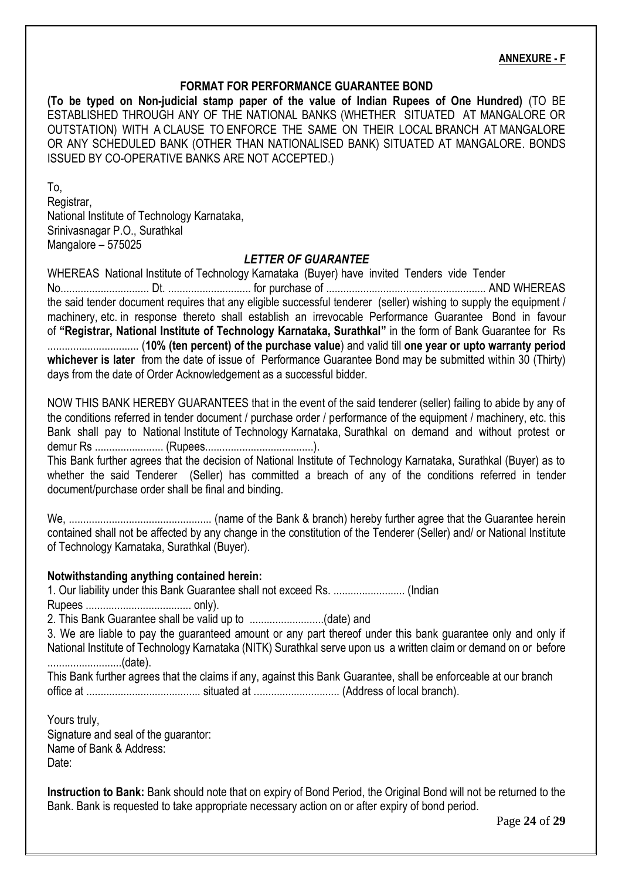#### **ANNEXURE - F**

#### **FORMAT FOR PERFORMANCE GUARANTEE BOND**

**(To be typed on Non-judicial stamp paper of the value of Indian Rupees of One Hundred)** (TO BE ESTABLISHED THROUGH ANY OF THE NATIONAL BANKS (WHETHER SITUATED AT MANGALORE OR OUTSTATION) WITH A CLAUSE TO ENFORCE THE SAME ON THEIR LOCAL BRANCH AT MANGALORE OR ANY SCHEDULED BANK (OTHER THAN NATIONALISED BANK) SITUATED AT MANGALORE. BONDS ISSUED BY CO-OPERATIVE BANKS ARE NOT ACCEPTED.)

To, Registrar, National Institute of Technology Karnataka, Srinivasnagar P.O., Surathkal Mangalore – 575025

#### *LETTER OF GUARANTEE*

WHEREAS National Institute of Technology Karnataka (Buyer) have invited Tenders vide Tender No............................... Dt. ............................. for purchase of ........................................................ AND WHEREAS the said tender document requires that any eligible successful tenderer (seller) wishing to supply the equipment / machinery, etc. in response thereto shall establish an irrevocable Performance Guarantee Bond in favour of **"Registrar, National Institute of Technology Karnataka, Surathkal"** in the form of Bank Guarantee for Rs ................................ (**10% (ten percent) of the purchase value**) and valid till **one year or upto warranty period whichever is later** from the date of issue of Performance Guarantee Bond may be submitted within 30 (Thirty) days from the date of Order Acknowledgement as a successful bidder.

NOW THIS BANK HEREBY GUARANTEES that in the event of the said tenderer (seller) failing to abide by any of the conditions referred in tender document / purchase order / performance of the equipment / machinery, etc. this Bank shall pay to National Institute of Technology Karnataka, Surathkal on demand and without protest or demur Rs ........................ (Rupees......................................).

This Bank further agrees that the decision of National Institute of Technology Karnataka, Surathkal (Buyer) as to whether the said Tenderer (Seller) has committed a breach of any of the conditions referred in tender document/purchase order shall be final and binding.

We, .................................................. (name of the Bank & branch) hereby further agree that the Guarantee herein contained shall not be affected by any change in the constitution of the Tenderer (Seller) and/ or National Institute of Technology Karnataka, Surathkal (Buyer).

#### **Notwithstanding anything contained herein:**

1. Our liability under this Bank Guarantee shall not exceed Rs. ......................... (Indian Rupees ..................................... only).

2. This Bank Guarantee shall be valid up to ..........................(date) and

3. We are liable to pay the guaranteed amount or any part thereof under this bank guarantee only and only if National Institute of Technology Karnataka (NITK) Surathkal serve upon us a written claim or demand on or before ..........................(date).

This Bank further agrees that the claims if any, against this Bank Guarantee, shall be enforceable at our branch office at ........................................ situated at .............................. (Address of local branch).

Yours truly, Signature and seal of the guarantor: Name of Bank & Address: Date:

**Instruction to Bank:** Bank should note that on expiry of Bond Period, the Original Bond will not be returned to the Bank. Bank is requested to take appropriate necessary action on or after expiry of bond period.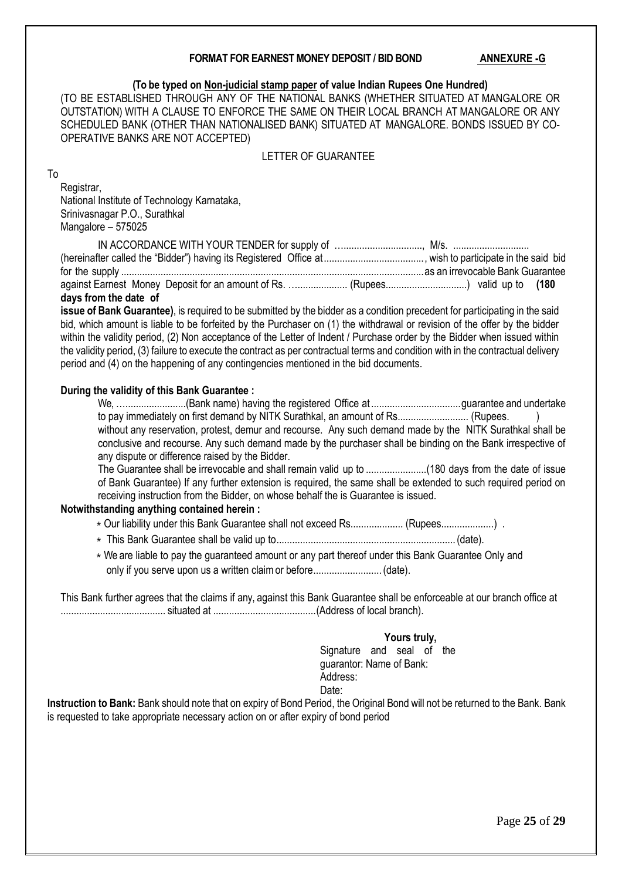#### **FORMAT FOR EARNEST MONEY DEPOSIT / BID BOND ANNEXURE -G**

#### **(To be typed on Non-judicial stamp paper of value Indian Rupees One Hundred)**

(TO BE ESTABLISHED THROUGH ANY OF THE NATIONAL BANKS (WHETHER SITUATED AT MANGALORE OR OUTSTATION) WITH A CLAUSE TO ENFORCE THE SAME ON THEIR LOCAL BRANCH AT MANGALORE OR ANY SCHEDULED BANK (OTHER THAN NATIONALISED BANK) SITUATED AT MANGALORE. BONDS ISSUED BY CO-OPERATIVE BANKS ARE NOT ACCEPTED)

#### LETTER OF GUARANTEE

#### To

Registrar, National Institute of Technology Karnataka, Srinivasnagar P.O., Surathkal Mangalore – 575025

| against Earnest Money Deposit for an amount of Rs.  (Rupees) valid up to (180 |  |
|-------------------------------------------------------------------------------|--|
| days from the date of                                                         |  |

**issue of Bank Guarantee)**, is required to be submitted by the bidder as a condition precedent for participating in the said bid, which amount is liable to be forfeited by the Purchaser on (1) the withdrawal or revision of the offer by the bidder within the validity period, (2) Non acceptance of the Letter of Indent / Purchase order by the Bidder when issued within the validity period, (3) failure to execute the contract as per contractual terms and condition with in the contractual delivery period and (4) on the happening of any contingencies mentioned in the bid documents.

#### **During the validity of this Bank Guarantee :**

We, ….......................(Bank name) having the registered Office at ..................................guarantee and undertake to pay immediately on first demand by NITK Surathkal, an amount of Rs........................... (Rupees. ) without any reservation, protest, demur and recourse. Any such demand made by the NITK Surathkal shall be conclusive and recourse. Any such demand made by the purchaser shall be binding on the Bank irrespective of any dispute or difference raised by the Bidder.

The Guarantee shall be irrevocable and shall remain valid up to .......................(180 days from the date of issue of Bank Guarantee) If any further extension is required, the same shall be extended to such required period on receiving instruction from the Bidder, on whose behalf the is Guarantee is issued.

#### **Notwithstanding anything contained herein :**

- \* Our liability under this Bank Guarantee shall not exceed Rs.................... (Rupees....................)
- ⁎ This Bank Guarantee shall be valid up to....................................................................(date).
- ⁎ We are liable to pay the guaranteed amount or any part thereof under this Bank Guarantee Only and only if you serve upon us a written claimor before..........................(date).

This Bank further agrees that the claims if any, against this Bank Guarantee shall be enforceable at our branch office at ........................................ situated at .......................................(Address of local branch).

#### **Yours truly,**

Signature and seal of the guarantor: Name of Bank: Address: Date:

**Instruction to Bank:** Bank should note that on expiry of Bond Period, the Original Bond will not be returned to the Bank. Bank is requested to take appropriate necessary action on or after expiry of bond period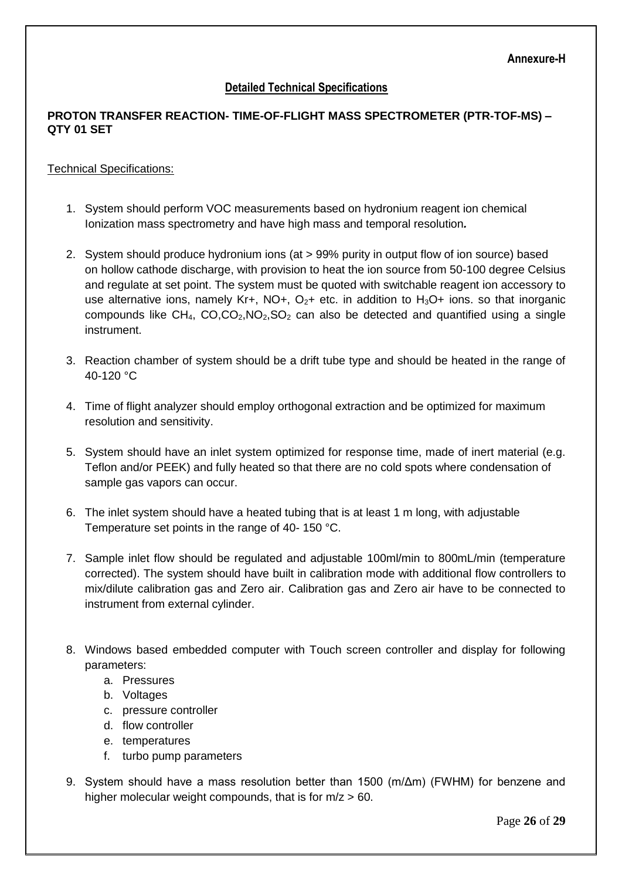### **Detailed Technical Specifications**

#### **PROTON TRANSFER REACTION- TIME-OF-FLIGHT MASS SPECTROMETER (PTR-TOF-MS) – QTY 01 SET**

#### Technical Specifications:

- 1. System should perform VOC measurements based on hydronium reagent ion chemical Ionization mass spectrometry and have high mass and temporal resolution*.*
- 2. System should produce hydronium ions (at > 99% purity in output flow of ion source) based on hollow cathode discharge, with provision to heat the ion source from 50-100 degree Celsius and regulate at set point. The system must be quoted with switchable reagent ion accessory to use alternative ions, namely Kr+, NO+,  $O<sub>2</sub>$ + etc. in addition to H<sub>3</sub>O+ ions. so that inorganic compounds like  $CH_4$ ,  $CO, CO_2$ ,  $NO_2$ ,  $SO_2$  can also be detected and quantified using a single instrument.
- 3. Reaction chamber of system should be a drift tube type and should be heated in the range of 40-120 °C
- 4. Time of flight analyzer should employ orthogonal extraction and be optimized for maximum resolution and sensitivity.
- 5. System should have an inlet system optimized for response time, made of inert material (e.g. Teflon and/or PEEK) and fully heated so that there are no cold spots where condensation of sample gas vapors can occur.
- 6. The inlet system should have a heated tubing that is at least 1 m long, with adjustable Temperature set points in the range of 40- 150 °C.
- 7. Sample inlet flow should be regulated and adjustable 100ml/min to 800mL/min (temperature corrected). The system should have built in calibration mode with additional flow controllers to mix/dilute calibration gas and Zero air. Calibration gas and Zero air have to be connected to instrument from external cylinder.
- 8. Windows based embedded computer with Touch screen controller and display for following parameters:
	- a. Pressures
	- b. Voltages
	- c. pressure controller
	- d. flow controller
	- e. temperatures
	- f. turbo pump parameters
- 9. System should have a mass resolution better than 1500 (m/Δm) (FWHM) for benzene and higher molecular weight compounds, that is for  $m/z > 60$ .

Page **26** of **29**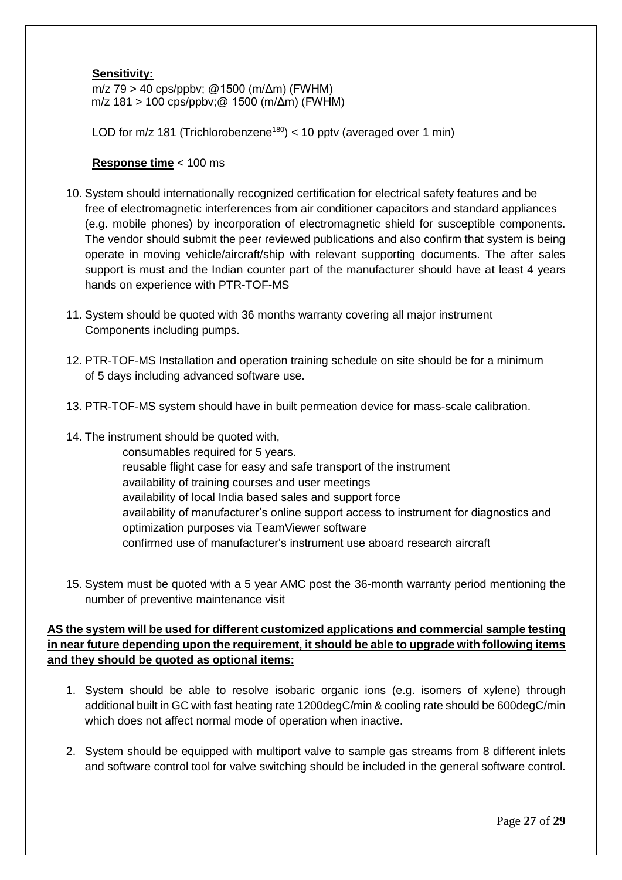#### **Sensitivity:**

 m/z 79 > 40 cps/ppbv; @1500 (m/Δm) (FWHM) m/z 181 > 100 cps/ppbv;@ 1500 (m/Δm) (FWHM)

LOD for  $m/z$  181 (Trichlorobenzene<sup>180</sup>) < 10 ppty (averaged over 1 min)

#### **Response time** < 100 ms

- 10. System should internationally recognized certification for electrical safety features and be free of electromagnetic interferences from air conditioner capacitors and standard appliances (e.g. mobile phones) by incorporation of electromagnetic shield for susceptible components. The vendor should submit the peer reviewed publications and also confirm that system is being operate in moving vehicle/aircraft/ship with relevant supporting documents. The after sales support is must and the Indian counter part of the manufacturer should have at least 4 years hands on experience with PTR-TOF-MS
- 11. System should be quoted with 36 months warranty covering all major instrument Components including pumps.
- 12. PTR-TOF-MS Installation and operation training schedule on site should be for a minimum of 5 days including advanced software use.
- 13. PTR-TOF-MS system should have in built permeation device for mass-scale calibration.
- 14. The instrument should be quoted with,
	- consumables required for 5 years. reusable flight case for easy and safe transport of the instrument availability of training courses and user meetings availability of local India based sales and support force availability of manufacturer's online support access to instrument for diagnostics and optimization purposes via TeamViewer software confirmed use of manufacturer's instrument use aboard research aircraft
- 15. System must be quoted with a 5 year AMC post the 36-month warranty period mentioning the number of preventive maintenance visit

#### **AS the system will be used for different customized applications and commercial sample testing in near future depending upon the requirement, it should be able to upgrade with following items and they should be quoted as optional items:**

- 1. System should be able to resolve isobaric organic ions (e.g. isomers of xylene) through additional built in GC with fast heating rate 1200degC/min & cooling rate should be 600degC/min which does not affect normal mode of operation when inactive.
- 2. System should be equipped with multiport valve to sample gas streams from 8 different inlets and software control tool for valve switching should be included in the general software control.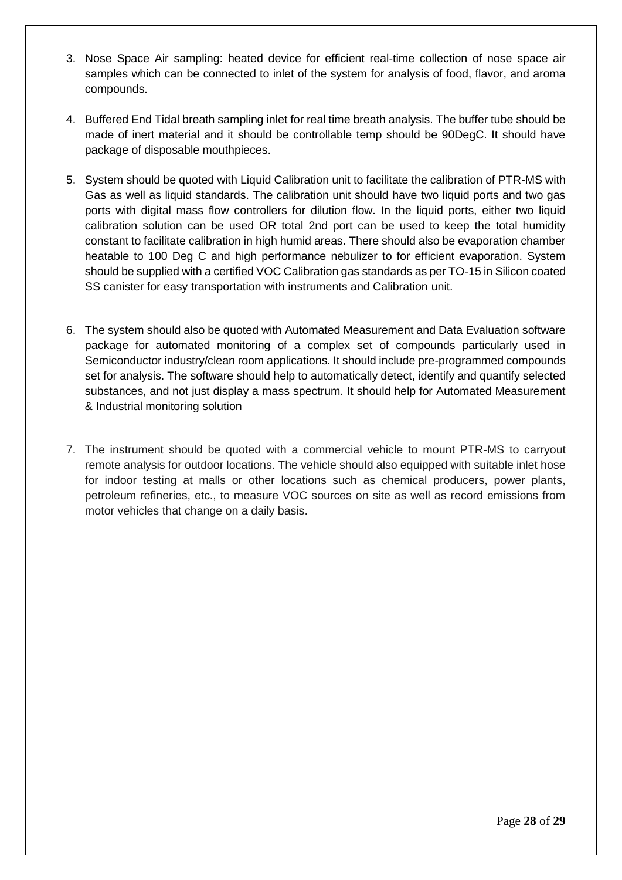- 3. Nose Space Air sampling: heated device for efficient real-time collection of nose space air samples which can be connected to inlet of the system for analysis of food, flavor, and aroma compounds.
- 4. Buffered End Tidal breath sampling inlet for real time breath analysis. The buffer tube should be made of inert material and it should be controllable temp should be 90DegC. It should have package of disposable mouthpieces.
- 5. System should be quoted with Liquid Calibration unit to facilitate the calibration of PTR-MS with Gas as well as liquid standards. The calibration unit should have two liquid ports and two gas ports with digital mass flow controllers for dilution flow. In the liquid ports, either two liquid calibration solution can be used OR total 2nd port can be used to keep the total humidity constant to facilitate calibration in high humid areas. There should also be evaporation chamber heatable to 100 Deg C and high performance nebulizer to for efficient evaporation. System should be supplied with a certified VOC Calibration gas standards as per TO-15 in Silicon coated SS canister for easy transportation with instruments and Calibration unit.
- 6. The system should also be quoted with Automated Measurement and Data Evaluation software package for automated monitoring of a complex set of compounds particularly used in Semiconductor industry/clean room applications. It should include pre-programmed compounds set for analysis. The software should help to automatically detect, identify and quantify selected substances, and not just display a mass spectrum. It should help for Automated Measurement & Industrial monitoring solution
- 7. The instrument should be quoted with a commercial vehicle to mount PTR-MS to carryout remote analysis for outdoor locations. The vehicle should also equipped with suitable inlet hose for indoor testing at malls or other locations such as chemical producers, power plants, petroleum refineries, etc., to measure VOC sources on site as well as record emissions from motor vehicles that change on a daily basis.